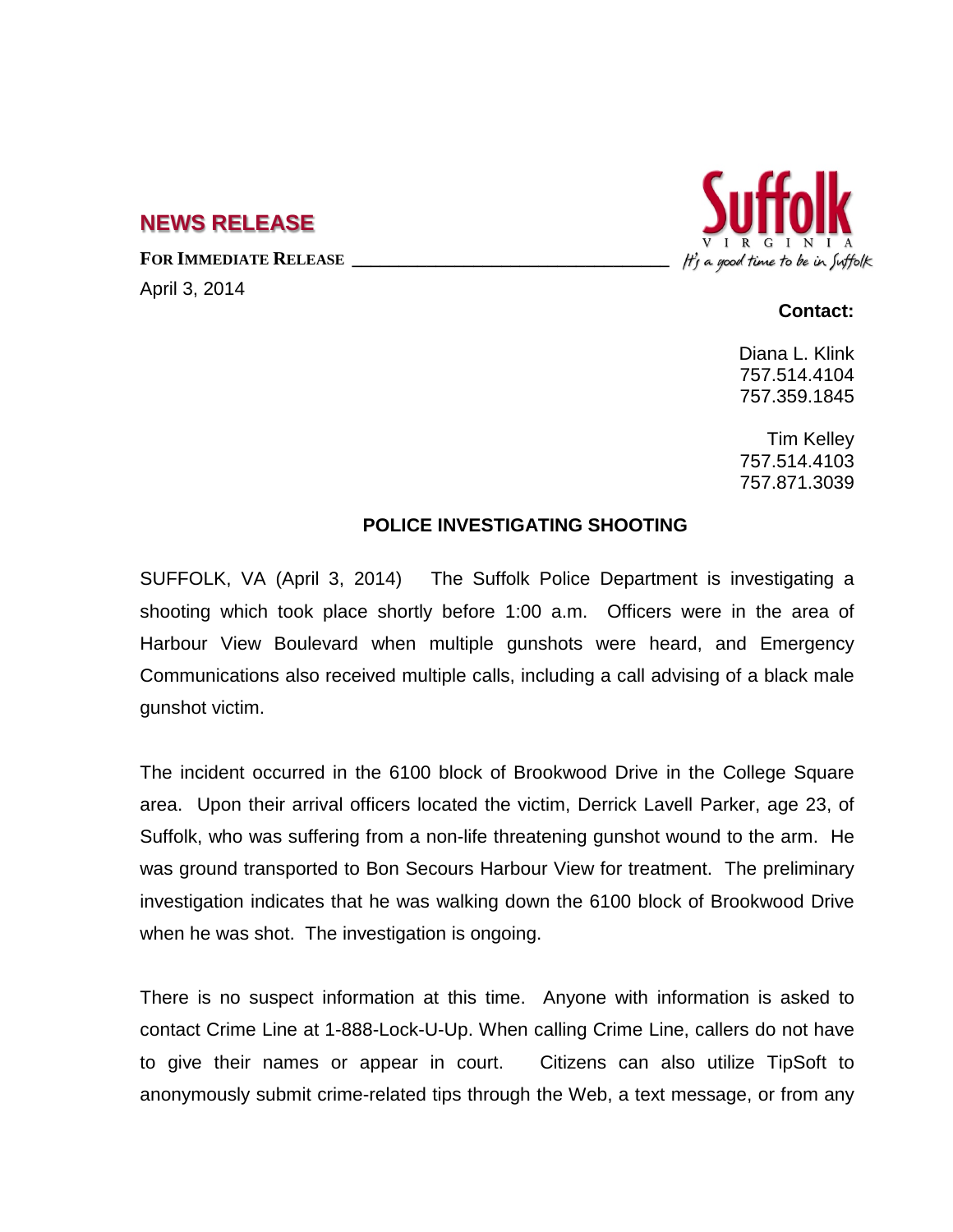## **NEWS RELEASE**

FOR **IMMEDIATE RELEASE** 

April 3, 2014

## It's a good time to be in Suffolk

## **Contact:**

Diana L. Klink 757.514.4104 757.359.1845

Tim Kelley 757.514.4103 757.871.3039

## **POLICE INVESTIGATING SHOOTING**

SUFFOLK, VA (April 3, 2014) The Suffolk Police Department is investigating a shooting which took place shortly before 1:00 a.m. Officers were in the area of Harbour View Boulevard when multiple gunshots were heard, and Emergency Communications also received multiple calls, including a call advising of a black male gunshot victim.

The incident occurred in the 6100 block of Brookwood Drive in the College Square area. Upon their arrival officers located the victim, Derrick Lavell Parker, age 23, of Suffolk, who was suffering from a non-life threatening gunshot wound to the arm. He was ground transported to Bon Secours Harbour View for treatment. The preliminary investigation indicates that he was walking down the 6100 block of Brookwood Drive when he was shot. The investigation is ongoing.

There is no suspect information at this time. Anyone with information is asked to contact Crime Line at 1-888-Lock-U-Up. When calling Crime Line, callers do not have to give their names or appear in court. Citizens can also utilize TipSoft to anonymously submit crime-related tips through the Web, a text message, or from any